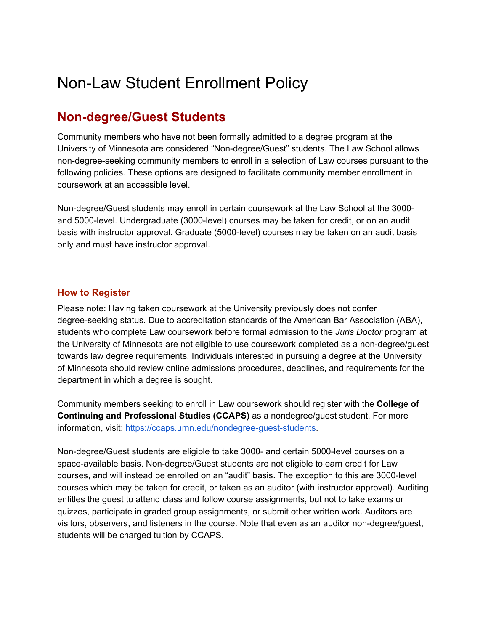## Non-Law Student Enrollment Policy

### **Non-degree/Guest Students**

Community members who have not been formally admitted to a degree program at the University of Minnesota are considered "Non-degree/Guest" students. The Law School allows non-degree-seeking community members to enroll in a selection of Law courses pursuant to the following policies. These options are designed to facilitate community member enrollment in coursework at an accessible level.

Non-degree/Guest students may enroll in certain coursework at the Law School at the 3000 and 5000-level. Undergraduate (3000-level) courses may be taken for credit, or on an audit basis with instructor approval. Graduate (5000-level) courses may be taken on an audit basis only and must have instructor approval.

#### **How to Register**

Please note: Having taken coursework at the University previously does not confer degree-seeking status. Due to accreditation standards of the American Bar Association (ABA), students who complete Law coursework before formal admission to the *Juris Doctor* program at the University of Minnesota are not eligible to use coursework completed as a non-degree/guest towards law degree requirements. Individuals interested in pursuing a degree at the University of Minnesota should review online admissions procedures, deadlines, and requirements for the department in which a degree is sought.

Community members seeking to enroll in Law coursework should register with the **College of Continuing and Professional Studies (CCAPS)** as a nondegree/guest student. For more information, visit: [https://ccaps.umn.edu/nondegree-guest-students.](https://ccaps.umn.edu/nondegree-guest-students)

Non-degree/Guest students are eligible to take 3000- and certain 5000-level courses on a space-available basis. Non-degree/Guest students are not eligible to earn credit for Law courses, and will instead be enrolled on an "audit" basis. The exception to this are 3000-level courses which may be taken for credit, or taken as an auditor (with instructor approval). Auditing entitles the guest to attend class and follow course assignments, but not to take exams or quizzes, participate in graded group assignments, or submit other written work. Auditors are visitors, observers, and listeners in the course. Note that even as an auditor non-degree/guest, students will be charged tuition by CCAPS.